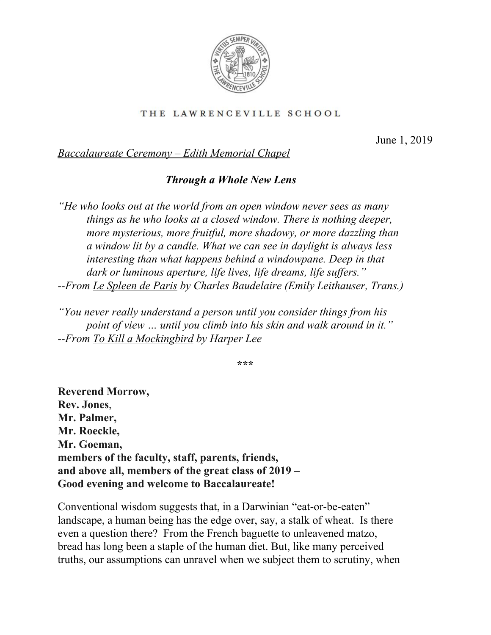

## THE LAWRENCEVILLE SCHOOL

June 1, 2019

*Baccalaureate Ceremony – Edith Memorial Chapel*

## *Through a Whole New Lens*

*"He who looks out at the world from an open window never sees as many things as he who looks at a closed window. There is nothing deeper, more mysterious, more fruitful, more shadowy, or more dazzling than a window lit by a candle. What we can see in daylight is always less interesting than what happens behind a windowpane. Deep in that dark* or *luminous aperture, life lives, life dreams, life suffers." --From Le Spleen de Paris by Charles Baudelaire (Emily Leithauser, Trans.)*

*"You never really understand a person until you consider things from his point of view … until you climb into his skin and walk around in it." --From To Kill a Mockingbird by Harper Lee*

**\*\*\***

**Reverend Morrow, Rev. Jones**, **Mr. Palmer, Mr. Roeckle, Mr. Goeman, members of the faculty, staff, parents, friends, and above all, members of the great class of 2019 – Good evening and welcome to Baccalaureate!**

Conventional wisdom suggests that, in a Darwinian "eat-or-be-eaten" landscape, a human being has the edge over, say, a stalk of wheat. Is there even a question there? From the French baguette to unleavened matzo, bread has long been a staple of the human diet. But, like many perceived truths, our assumptions can unravel when we subject them to scrutiny, when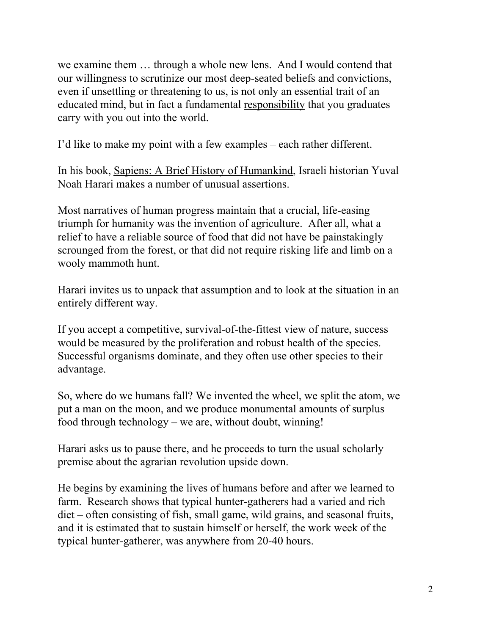we examine them … through a whole new lens. And I would contend that our willingness to scrutinize our most deep-seated beliefs and convictions, even if unsettling or threatening to us, is not only an essential trait of an educated mind, but in fact a fundamental responsibility that you graduates carry with you out into the world.

I'd like to make my point with a few examples – each rather different.

In his book, Sapiens: A Brief History of Humankind, Israeli historian Yuval Noah Harari makes a number of unusual assertions.

Most narratives of human progress maintain that a crucial, life-easing triumph for humanity was the invention of agriculture. After all, what a relief to have a reliable source of food that did not have be painstakingly scrounged from the forest, or that did not require risking life and limb on a wooly mammoth hunt.

Harari invites us to unpack that assumption and to look at the situation in an entirely different way.

If you accept a competitive, survival-of-the-fittest view of nature, success would be measured by the proliferation and robust health of the species. Successful organisms dominate, and they often use other species to their advantage.

So, where do we humans fall? We invented the wheel, we split the atom, we put a man on the moon, and we produce monumental amounts of surplus food through technology – we are, without doubt, winning!

Harari asks us to pause there, and he proceeds to turn the usual scholarly premise about the agrarian revolution upside down.

He begins by examining the lives of humans before and after we learned to farm. Research shows that typical hunter-gatherers had a varied and rich diet – often consisting of fish, small game, wild grains, and seasonal fruits, and it is estimated that to sustain himself or herself, the work week of the typical hunter-gatherer, was anywhere from 20-40 hours.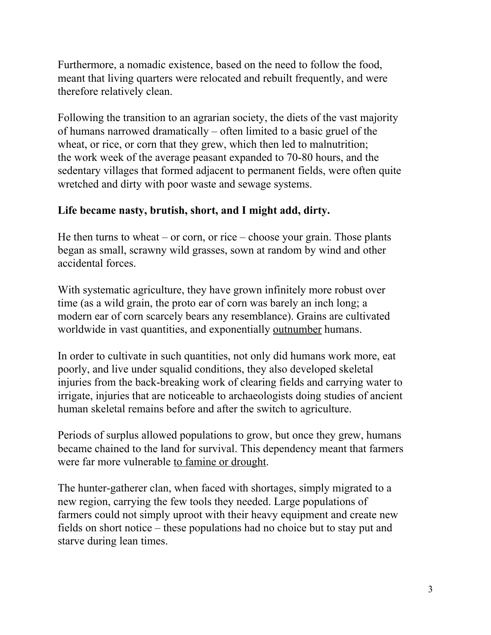Furthermore, a nomadic existence, based on the need to follow the food, meant that living quarters were relocated and rebuilt frequently, and were therefore relatively clean.

Following the transition to an agrarian society, the diets of the vast majority of humans narrowed dramatically – often limited to a basic gruel of the wheat, or rice, or corn that they grew, which then led to malnutrition; the work week of the average peasant expanded to 70-80 hours, and the sedentary villages that formed adjacent to permanent fields, were often quite wretched and dirty with poor waste and sewage systems.

## **Life became nasty, brutish, short, and I might add, dirty.**

He then turns to wheat – or corn, or rice – choose your grain. Those plants began as small, scrawny wild grasses, sown at random by wind and other accidental forces.

With systematic agriculture, they have grown infinitely more robust over time (as a wild grain, the proto ear of corn was barely an inch long; a modern ear of corn scarcely bears any resemblance). Grains are cultivated worldwide in vast quantities, and exponentially outnumber humans.

In order to cultivate in such quantities, not only did humans work more, eat poorly, and live under squalid conditions, they also developed skeletal injuries from the back-breaking work of clearing fields and carrying water to irrigate, injuries that are noticeable to archaeologists doing studies of ancient human skeletal remains before and after the switch to agriculture.

Periods of surplus allowed populations to grow, but once they grew, humans became chained to the land for survival. This dependency meant that farmers were far more vulnerable to famine or drought.

The hunter-gatherer clan, when faced with shortages, simply migrated to a new region, carrying the few tools they needed. Large populations of farmers could not simply uproot with their heavy equipment and create new fields on short notice – these populations had no choice but to stay put and starve during lean times.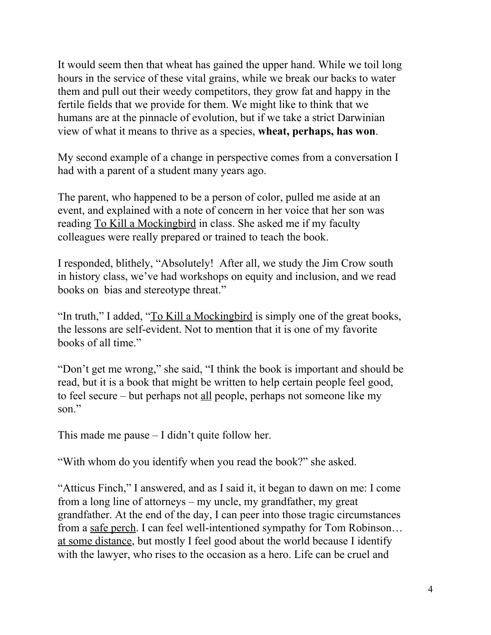It would seem then that wheat has gained the upper hand. While we toil long hours in the service of these vital grains, while we break our backs to water them and pull out their weedy competitors, they grow fat and happy in the fertile fields that we provide for them. We might like to think that we humans are at the pinnacle of evolution, but if we take a strict Darwinian view of what it means to thrive as a species, **wheat, perhaps, has won**.

My second example of a change in perspective comes from a conversation I had with a parent of a student many years ago.

The parent, who happened to be a person of color, pulled me aside at an event, and explained with a note of concern in her voice that her son was reading To Kill a Mockingbird in class. She asked me if my faculty colleagues were really prepared or trained to teach the book.

I responded, blithely, "Absolutely! After all, we study the Jim Crow south in history class, we've had workshops on equity and inclusion, and we read books on bias and stereotype threat."

"In truth," I added, "To Kill a Mockingbird is simply one of the great books, the lessons are self-evident. Not to mention that it is one of my favorite books of all time."

"Don't get me wrong," she said, "I think the book is important and should be read, but it is a book that might be written to help certain people feel good, to feel secure – but perhaps not all people, perhaps not someone like my son."

This made me pause – I didn't quite follow her.

"With whom do you identify when you read the book?" she asked.

"Atticus Finch," I answered, and as I said it, it began to dawn on me: I come from a long line of attorneys – my uncle, my grandfather, my great grandfather. At the end of the day, I can peer into those tragic circumstances from a safe perch. I can feel well-intentioned sympathy for Tom Robinson… at some distance, but mostly I feel good about the world because I identify with the lawyer, who rises to the occasion as a hero. Life can be cruel and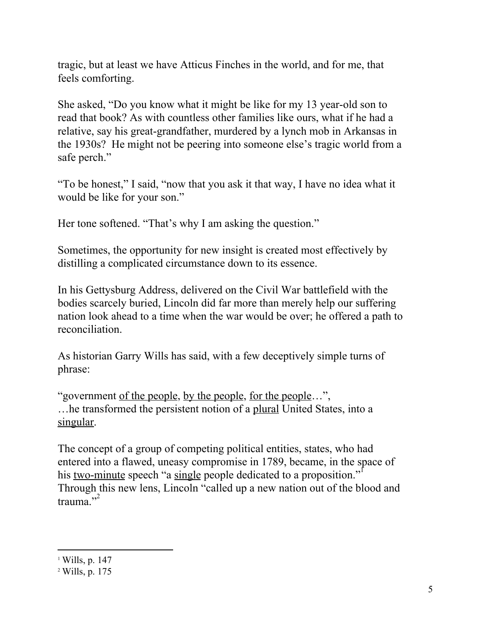tragic, but at least we have Atticus Finches in the world, and for me, that feels comforting.

She asked, "Do you know what it might be like for my 13 year-old son to read that book? As with countless other families like ours, what if he had a relative, say his great-grandfather, murdered by a lynch mob in Arkansas in the 1930s? He might not be peering into someone else's tragic world from a safe perch."

"To be honest," I said, "now that you ask it that way, I have no idea what it would be like for your son."

Her tone softened. "That's why I am asking the question."

Sometimes, the opportunity for new insight is created most effectively by distilling a complicated circumstance down to its essence.

In his Gettysburg Address, delivered on the Civil War battlefield with the bodies scarcely buried, Lincoln did far more than merely help our suffering nation look ahead to a time when the war would be over; he offered a path to reconciliation.

As historian Garry Wills has said, with a few deceptively simple turns of phrase:

"government of the people, by the people, for the people…", …he transformed the persistent notion of a plural United States, into a singular.

The concept of a group of competing political entities, states, who had entered into a flawed, uneasy compromise in 1789, became, in the space of his <u>two-minute</u> speech "a single people dedicated to a proposition."<sup>1</sup> Through this new lens, Lincoln "called up a new nation out of the blood and trauma."

 $1$  Wills, p. 147

<sup>2</sup> Wills, p. 175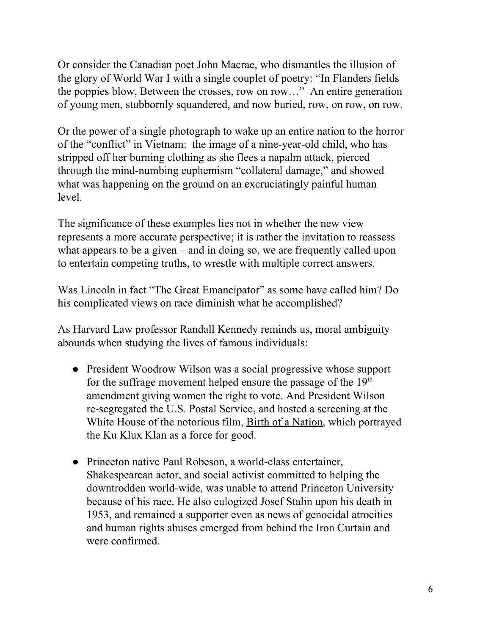Or consider the Canadian poet John Macrae, who dismantles the illusion of the glory of World War I with a single couplet of poetry: "In Flanders fields the poppies blow, Between the crosses, row on row…" An entire generation of young men, stubbornly squandered, and now buried, row, on row, on row.

Or the power of a single photograph to wake up an entire nation to the horror of the "conflict" in Vietnam: the image of a nine-year-old child, who has stripped off her burning clothing as she flees a napalm attack, pierced through the mind-numbing euphemism "collateral damage," and showed what was happening on the ground on an excruciatingly painful human level.

The significance of these examples lies not in whether the new view represents a more accurate perspective; it is rather the invitation to reassess what appears to be a given – and in doing so, we are frequently called upon to entertain competing truths, to wrestle with multiple correct answers.

Was Lincoln in fact "The Great Emancipator" as some have called him? Do his complicated views on race diminish what he accomplished?

As Harvard Law professor Randall Kennedy reminds us, moral ambiguity abounds when studying the lives of famous individuals:

- President Woodrow Wilson was a social progressive whose support for the suffrage movement helped ensure the passage of the 19<sup>th</sup> amendment giving women the right to vote. And President Wilson re-segregated the U.S. Postal Service, and hosted a screening at the White House of the notorious film, Birth of a Nation, which portrayed the Ku Klux Klan as a force for good.
- Princeton native Paul Robeson, a world-class entertainer, Shakespearean actor, and social activist committed to helping the downtrodden world-wide, was unable to attend Princeton University because of his race. He also eulogized Josef Stalin upon his death in 1953, and remained a supporter even as news of genocidal atrocities and human rights abuses emerged from behind the Iron Curtain and were confirmed.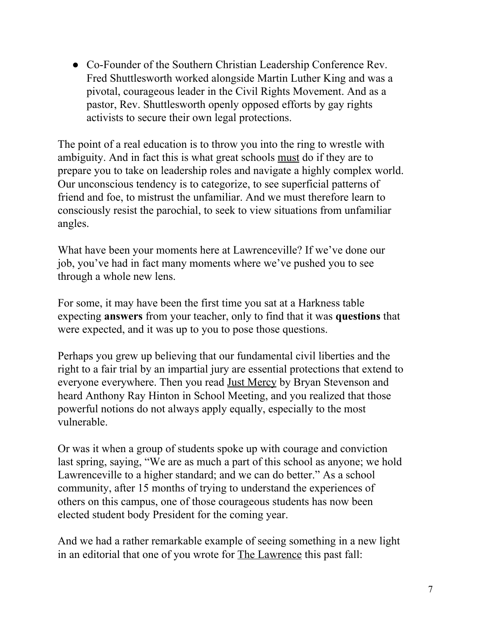● Co-Founder of the Southern Christian Leadership Conference Rev. Fred Shuttlesworth worked alongside Martin Luther King and was a pivotal, courageous leader in the Civil Rights Movement. And as a pastor, Rev. Shuttlesworth openly opposed efforts by gay rights activists to secure their own legal protections.

The point of a real education is to throw you into the ring to wrestle with ambiguity. And in fact this is what great schools must do if they are to prepare you to take on leadership roles and navigate a highly complex world. Our unconscious tendency is to categorize, to see superficial patterns of friend and foe, to mistrust the unfamiliar. And we must therefore learn to consciously resist the parochial, to seek to view situations from unfamiliar angles.

What have been your moments here at Lawrenceville? If we've done our job, you've had in fact many moments where we've pushed you to see through a whole new lens.

For some, it may have been the first time you sat at a Harkness table expecting **answers** from your teacher, only to find that it was **questions** that were expected, and it was up to you to pose those questions.

Perhaps you grew up believing that our fundamental civil liberties and the right to a fair trial by an impartial jury are essential protections that extend to everyone everywhere. Then you read Just Mercy by Bryan Stevenson and heard Anthony Ray Hinton in School Meeting, and you realized that those powerful notions do not always apply equally, especially to the most vulnerable.

Or was it when a group of students spoke up with courage and conviction last spring, saying, "We are as much a part of this school as anyone; we hold Lawrenceville to a higher standard; and we can do better." As a school community, after 15 months of trying to understand the experiences of others on this campus, one of those courageous students has now been elected student body President for the coming year.

And we had a rather remarkable example of seeing something in a new light in an editorial that one of you wrote for The Lawrence this past fall: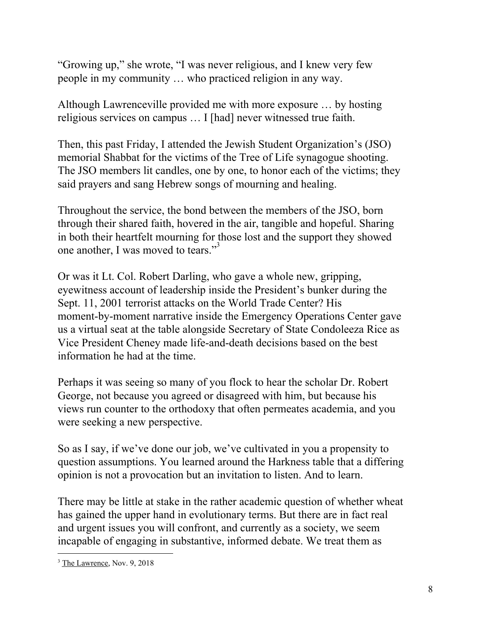"Growing up," she wrote, "I was never religious, and I knew very few people in my community … who practiced religion in any way.

Although Lawrenceville provided me with more exposure … by hosting religious services on campus … I [had] never witnessed true faith.

Then, this past Friday, I attended the Jewish Student Organization's (JSO) memorial Shabbat for the victims of the Tree of Life synagogue shooting. The JSO members lit candles, one by one, to honor each of the victims; they said prayers and sang Hebrew songs of mourning and healing.

Throughout the service, the bond between the members of the JSO, born through their shared faith, hovered in the air, tangible and hopeful. Sharing in both their heartfelt mourning for those lost and the support they showed one another, I was moved to tears."<sup>3</sup>

Or was it Lt. Col. Robert Darling, who gave a whole new, gripping, eyewitness account of leadership inside the President's bunker during the Sept. 11, 2001 terrorist attacks on the World Trade Center? His moment-by-moment narrative inside the Emergency Operations Center gave us a virtual seat at the table alongside Secretary of State Condoleeza Rice as Vice President Cheney made life-and-death decisions based on the best information he had at the time.

Perhaps it was seeing so many of you flock to hear the scholar Dr. Robert George, not because you agreed or disagreed with him, but because his views run counter to the orthodoxy that often permeates academia, and you were seeking a new perspective.

So as I say, if we've done our job, we've cultivated in you a propensity to question assumptions. You learned around the Harkness table that a differing opinion is not a provocation but an invitation to listen. And to learn.

There may be little at stake in the rather academic question of whether wheat has gained the upper hand in evolutionary terms. But there are in fact real and urgent issues you will confront, and currently as a society, we seem incapable of engaging in substantive, informed debate. We treat them as

<sup>&</sup>lt;sup>3</sup> The Lawrence, Nov. 9, 2018